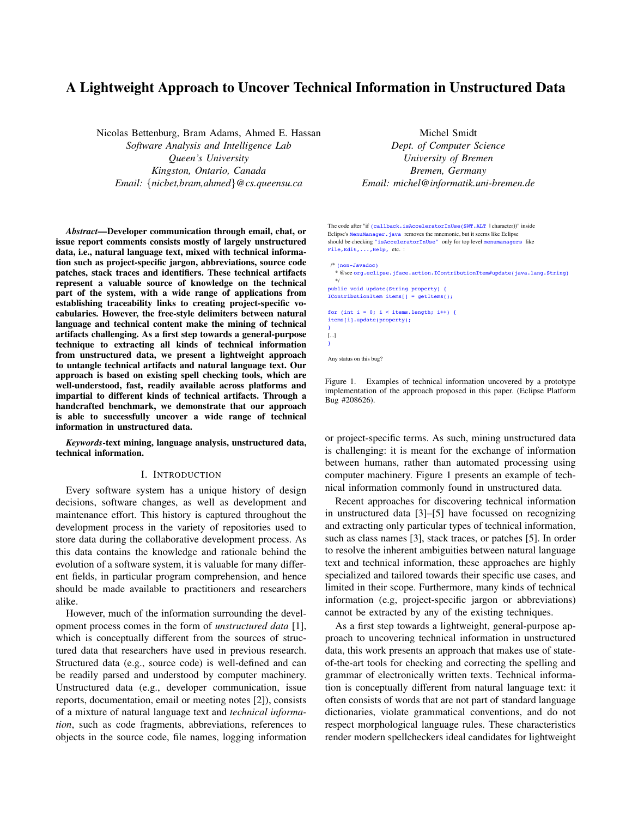# A Lightweight Approach to Uncover Technical Information in Unstructured Data

Nicolas Bettenburg, Bram Adams, Ahmed E. Hassan *Software Analysis and Intelligence Lab Queen's University Kingston, Ontario, Canada Email:* {*nicbet,bram,ahmed*}*@cs.queensu.ca*

*Abstract*—Developer communication through email, chat, or issue report comments consists mostly of largely unstructured data, i.e., natural language text, mixed with technical information such as project-specific jargon, abbreviations, source code patches, stack traces and identifiers. These technical artifacts represent a valuable source of knowledge on the technical part of the system, with a wide range of applications from establishing traceability links to creating project-specific vocabularies. However, the free-style delimiters between natural language and technical content make the mining of technical artifacts challenging. As a first step towards a general-purpose technique to extracting all kinds of technical information from unstructured data, we present a lightweight approach to untangle technical artifacts and natural language text. Our approach is based on existing spell checking tools, which are well-understood, fast, readily available across platforms and impartial to different kinds of technical artifacts. Through a handcrafted benchmark, we demonstrate that our approach is able to successfully uncover a wide range of technical information in unstructured data.

*Keywords*-text mining, language analysis, unstructured data, technical information.

#### I. INTRODUCTION

Every software system has a unique history of design decisions, software changes, as well as development and maintenance effort. This history is captured throughout the development process in the variety of repositories used to store data during the collaborative development process. As this data contains the knowledge and rationale behind the evolution of a software system, it is valuable for many different fields, in particular program comprehension, and hence should be made available to practitioners and researchers alike.

However, much of the information surrounding the development process comes in the form of *unstructured data* [1], which is conceptually different from the sources of structured data that researchers have used in previous research. Structured data (e.g., source code) is well-defined and can be readily parsed and understood by computer machinery. Unstructured data (e.g., developer communication, issue reports, documentation, email or meeting notes [2]), consists of a mixture of natural language text and *technical information*, such as code fragments, abbreviations, references to objects in the source code, file names, logging information

Michel Smidt *Dept. of Computer Science* University of Bremen Bremen, Germany Email: michel@informatik.uni-bremen.de

More information: The code after "if (callback.isAcceleratorInUse(SWT.ALT | character))" inside Eclipse's MenuManager.java removes the mnemonic, but it seems like Eclipse should be checking "isAcceleratorInUse" only for top level menumanagers like File, Edit, ..., Help, etc. :

#### /\* (non-Javadoc)

\* @see org.eclipse.jface.action.IContributionItem#update(java.lang.String)  $*$ 

public void update(String property) { IContributionItem items[] = getItems();

```
for (int i = 0; i < items.length; i++) {
items[i].update(property); 
} 
[...] 
}
```
Any status on this bug?

Figure 1. Examples of technical information uncovered by a prototype implementation of the approach proposed in this paper. (Eclipse Platform  $\frac{1}{2}$  by default early in  $\frac{1}{2}$  by default experience contributed by  $\frac{1}{2}$  by  $\frac{1}{2}$  by  $\frac{1}{2}$  by  $\frac{1}{2}$  by  $\frac{1}{2}$  by  $\frac{1}{2}$  by  $\frac{1}{2}$  by  $\frac{1}{2}$  by  $\frac{1}{2}$  by  $\frac{1}{2}$  by  $\frac{1}{2}$  by  $\mathcal{L}_{\Theta}$  and action  $\mathcal{L}_{\Theta}$ 

or project-specific terms. As such, mining unstructured data is challenging: it is meant for the exchange of information between humans, rather than automated processing using computer machinery. Figure 1 presents an example of technical information commonly found in unstructured data.

Recent approaches for discovering technical information in unstructured data [3]–[5] have focussed on recognizing and extracting only particular types of technical information, such as class names [3], stack traces, or patches [5]. In order to resolve the inherent ambiguities between natural language text and technical information, these approaches are highly specialized and tailored towards their specific use cases, and limited in their scope. Furthermore, many kinds of technical information (e.g, project-specific jargon or abbreviations) cannot be extracted by any of the existing techniques.

As a first step towards a lightweight, general-purpose approach to uncovering technical information in unstructured data, this work presents an approach that makes use of stateof-the-art tools for checking and correcting the spelling and grammar of electronically written texts. Technical information is conceptually different from natural language text: it often consists of words that are not part of standard language dictionaries, violate grammatical conventions, and do not respect morphological language rules. These characteristics render modern spellcheckers ideal candidates for lightweight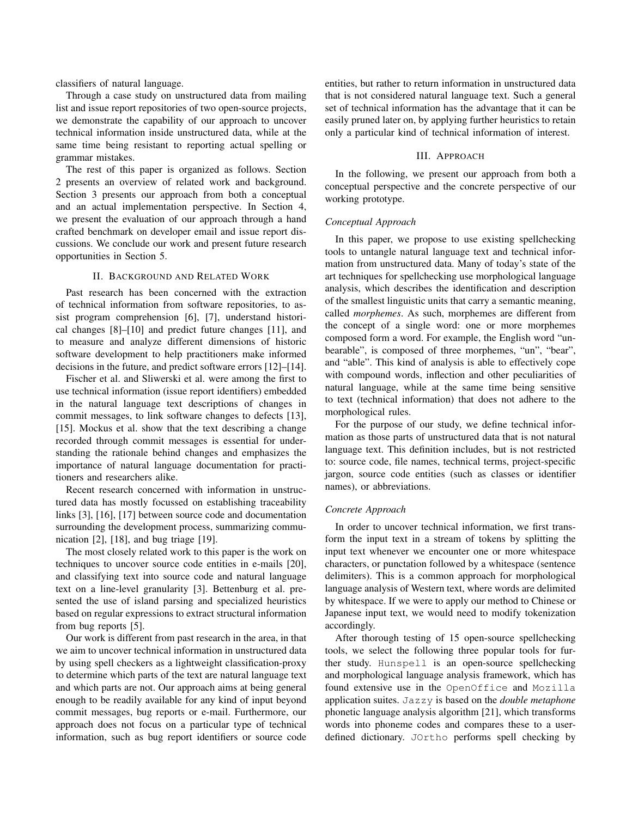classifiers of natural language.

Through a case study on unstructured data from mailing list and issue report repositories of two open-source projects, we demonstrate the capability of our approach to uncover technical information inside unstructured data, while at the same time being resistant to reporting actual spelling or grammar mistakes.

The rest of this paper is organized as follows. Section 2 presents an overview of related work and background. Section 3 presents our approach from both a conceptual and an actual implementation perspective. In Section 4, we present the evaluation of our approach through a hand crafted benchmark on developer email and issue report discussions. We conclude our work and present future research opportunities in Section 5.

# II. BACKGROUND AND RELATED WORK

Past research has been concerned with the extraction of technical information from software repositories, to assist program comprehension [6], [7], understand historical changes [8]–[10] and predict future changes [11], and to measure and analyze different dimensions of historic software development to help practitioners make informed decisions in the future, and predict software errors [12]–[14].

Fischer et al. and Sliwerski et al. were among the first to use technical information (issue report identifiers) embedded in the natural language text descriptions of changes in commit messages, to link software changes to defects [13], [15]. Mockus et al. show that the text describing a change recorded through commit messages is essential for understanding the rationale behind changes and emphasizes the importance of natural language documentation for practitioners and researchers alike.

Recent research concerned with information in unstructured data has mostly focussed on establishing traceability links [3], [16], [17] between source code and documentation surrounding the development process, summarizing communication [2], [18], and bug triage [19].

The most closely related work to this paper is the work on techniques to uncover source code entities in e-mails [20], and classifying text into source code and natural language text on a line-level granularity [3]. Bettenburg et al. presented the use of island parsing and specialized heuristics based on regular expressions to extract structural information from bug reports [5].

Our work is different from past research in the area, in that we aim to uncover technical information in unstructured data by using spell checkers as a lightweight classification-proxy to determine which parts of the text are natural language text and which parts are not. Our approach aims at being general enough to be readily available for any kind of input beyond commit messages, bug reports or e-mail. Furthermore, our approach does not focus on a particular type of technical information, such as bug report identifiers or source code entities, but rather to return information in unstructured data that is not considered natural language text. Such a general set of technical information has the advantage that it can be easily pruned later on, by applying further heuristics to retain only a particular kind of technical information of interest.

### III. APPROACH

In the following, we present our approach from both a conceptual perspective and the concrete perspective of our working prototype.

# *Conceptual Approach*

In this paper, we propose to use existing spellchecking tools to untangle natural language text and technical information from unstructured data. Many of today's state of the art techniques for spellchecking use morphological language analysis, which describes the identification and description of the smallest linguistic units that carry a semantic meaning, called *morphemes*. As such, morphemes are different from the concept of a single word: one or more morphemes composed form a word. For example, the English word "unbearable", is composed of three morphemes, "un", "bear", and "able". This kind of analysis is able to effectively cope with compound words, inflection and other peculiarities of natural language, while at the same time being sensitive to text (technical information) that does not adhere to the morphological rules.

For the purpose of our study, we define technical information as those parts of unstructured data that is not natural language text. This definition includes, but is not restricted to: source code, file names, technical terms, project-specific jargon, source code entities (such as classes or identifier names), or abbreviations.

#### *Concrete Approach*

In order to uncover technical information, we first transform the input text in a stream of tokens by splitting the input text whenever we encounter one or more whitespace characters, or punctation followed by a whitespace (sentence delimiters). This is a common approach for morphological language analysis of Western text, where words are delimited by whitespace. If we were to apply our method to Chinese or Japanese input text, we would need to modify tokenization accordingly.

After thorough testing of 15 open-source spellchecking tools, we select the following three popular tools for further study. Hunspell is an open-source spellchecking and morphological language analysis framework, which has found extensive use in the OpenOffice and Mozilla application suites. Jazzy is based on the *double metaphone* phonetic language analysis algorithm [21], which transforms words into phoneme codes and compares these to a userdefined dictionary. JOrtho performs spell checking by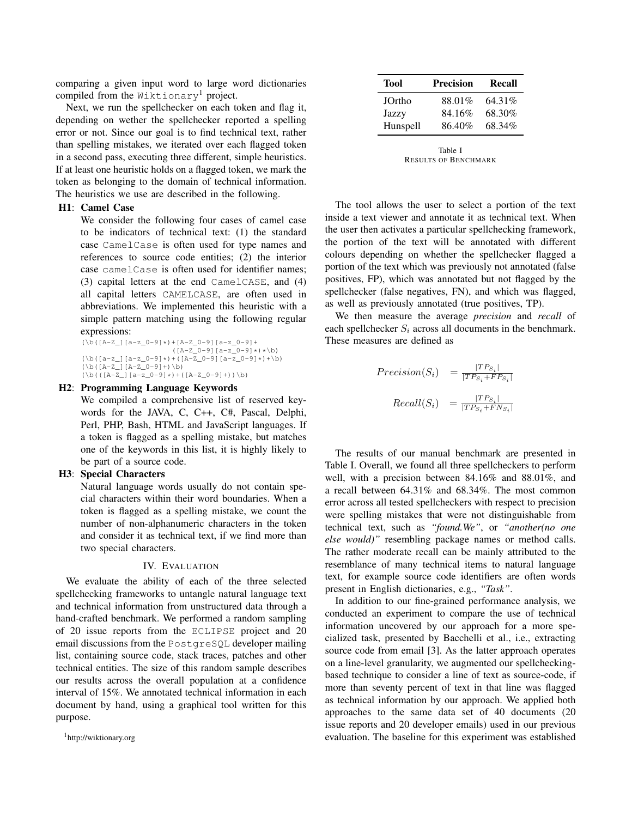comparing a given input word to large word dictionaries compiled from the Wiktionary<sup>1</sup> project.

Next, we run the spellchecker on each token and flag it, depending on wether the spellchecker reported a spelling error or not. Since our goal is to find technical text, rather than spelling mistakes, we iterated over each flagged token in a second pass, executing three different, simple heuristics. If at least one heuristic holds on a flagged token, we mark the token as belonging to the domain of technical information. The heuristics we use are described in the following.

## H1: Camel Case

We consider the following four cases of camel case to be indicators of technical text: (1) the standard case CamelCase is often used for type names and references to source code entities; (2) the interior case camelCase is often used for identifier names; (3) capital letters at the end CamelCASE, and (4) all capital letters CAMELCASE, are often used in abbreviations. We implemented this heuristic with a simple pattern matching using the following regular expressions:

(\b([A-Z\_][a-z\_0-9]\*)+[A-Z\_0-9][a-z\_0-9]+  $\begin{array}{l} \scriptstyle (\hbox{[}A-Z_0-9]\hbox{[}a-z_0-9]\star)\star\backslash b)\\ \scriptstyle (\hbox{[}a-z_]\hbox{[}a-z_0-9]\star)+(\hbox{[}A-Z_0-9]\hbox{[}a-z_0-9]\star)+\backslash b)\end{array}$  $(\b([A-Z_] [A-Z_0-9]+)\b)$  $(\b(\([A-z_1] [a-z_0-9]*)+([A-z_0-9]+))\b)$ 

#### H2: Programming Language Keywords

We compiled a comprehensive list of reserved keywords for the JAVA, C, C++, C#, Pascal, Delphi, Perl, PHP, Bash, HTML and JavaScript languages. If a token is flagged as a spelling mistake, but matches one of the keywords in this list, it is highly likely to be part of a source code.

#### H3: Special Characters

Natural language words usually do not contain special characters within their word boundaries. When a token is flagged as a spelling mistake, we count the number of non-alphanumeric characters in the token and consider it as technical text, if we find more than two special characters.

### IV. EVALUATION

We evaluate the ability of each of the three selected spellchecking frameworks to untangle natural language text and technical information from unstructured data through a hand-crafted benchmark. We performed a random sampling of 20 issue reports from the ECLIPSE project and 20 email discussions from the PostgreSQL developer mailing list, containing source code, stack traces, patches and other technical entities. The size of this random sample describes our results across the overall population at a confidence interval of 15%. We annotated technical information in each document by hand, using a graphical tool written for this purpose.

<sup>1</sup>http://wiktionary.org

| Tool     | <b>Precision</b> | Recall |
|----------|------------------|--------|
| JOrtho   | 88.01%           | 64.31% |
| Jazzy    | 84.16%           | 68.30% |
| Hunspell | 86.40%           | 68.34% |

Table I RESULTS OF BENCHMARK

The tool allows the user to select a portion of the text inside a text viewer and annotate it as technical text. When the user then activates a particular spellchecking framework, the portion of the text will be annotated with different colours depending on whether the spellchecker flagged a portion of the text which was previously not annotated (false positives, FP), which was annotated but not flagged by the spellchecker (false negatives, FN), and which was flagged, as well as previously annotated (true positives, TP).

We then measure the average *precision* and *recall* of each spellchecker  $S_i$  across all documents in the benchmark. These measures are defined as

$$
Precision(S_i) = \frac{|TP_{S_i}|}{|TP_{S_i} + FP_{S_i}|}
$$

$$
Recall(S_i) = \frac{|TP_{S_i}|}{|TP_{S_i} + FN_{S_i}|}
$$

The results of our manual benchmark are presented in Table I. Overall, we found all three spellcheckers to perform well, with a precision between 84.16% and 88.01%, and a recall between 64.31% and 68.34%. The most common error across all tested spellcheckers with respect to precision were spelling mistakes that were not distinguishable from technical text, such as *"found.We"*, or *"another(no one else would)"* resembling package names or method calls. The rather moderate recall can be mainly attributed to the resemblance of many technical items to natural language text, for example source code identifiers are often words present in English dictionaries, e.g., *"Task"*.

In addition to our fine-grained performance analysis, we conducted an experiment to compare the use of technical information uncovered by our approach for a more specialized task, presented by Bacchelli et al., i.e., extracting source code from email [3]. As the latter approach operates on a line-level granularity, we augmented our spellcheckingbased technique to consider a line of text as source-code, if more than seventy percent of text in that line was flagged as technical information by our approach. We applied both approaches to the same data set of 40 documents (20 issue reports and 20 developer emails) used in our previous evaluation. The baseline for this experiment was established